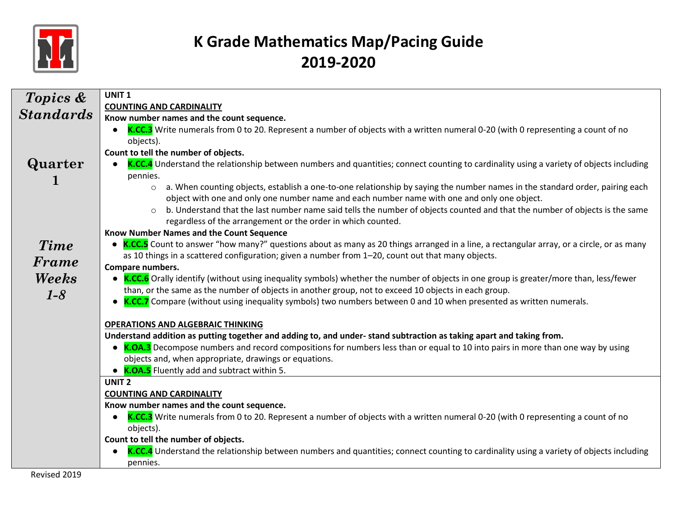

| Topics &         | UNIT <sub>1</sub>                                                                                                                             |
|------------------|-----------------------------------------------------------------------------------------------------------------------------------------------|
|                  | <b>COUNTING AND CARDINALITY</b>                                                                                                               |
| <b>Standards</b> | Know number names and the count sequence.                                                                                                     |
|                  | K.CC.3 Write numerals from 0 to 20. Represent a number of objects with a written numeral 0-20 (with 0 representing a count of no              |
|                  | objects).                                                                                                                                     |
|                  | Count to tell the number of objects.                                                                                                          |
| Quarter          | K.CC.4 Understand the relationship between numbers and quantities; connect counting to cardinality using a variety of objects including       |
|                  | pennies.                                                                                                                                      |
|                  | a. When counting objects, establish a one-to-one relationship by saying the number names in the standard order, pairing each<br>$\circ$       |
|                  | object with one and only one number name and each number name with one and only one object.                                                   |
|                  | b. Understand that the last number name said tells the number of objects counted and that the number of objects is the same<br>$\circ$        |
|                  | regardless of the arrangement or the order in which counted.                                                                                  |
|                  | Know Number Names and the Count Sequence                                                                                                      |
| <b>Time</b>      | • K.CC.5 Count to answer "how many?" questions about as many as 20 things arranged in a line, a rectangular array, or a circle, or as many    |
| <b>Frame</b>     | as 10 things in a scattered configuration; given a number from 1-20, count out that many objects.                                             |
|                  | Compare numbers.                                                                                                                              |
| Weeks            | • K.CC.6 Orally identify (without using inequality symbols) whether the number of objects in one group is greater/more than, less/fewer       |
| $1-8$            | than, or the same as the number of objects in another group, not to exceed 10 objects in each group.                                          |
|                  | • K.CC.7 Compare (without using inequality symbols) two numbers between 0 and 10 when presented as written numerals.                          |
|                  |                                                                                                                                               |
|                  | <b>OPERATIONS AND ALGEBRAIC THINKING</b>                                                                                                      |
|                  | Understand addition as putting together and adding to, and under-stand subtraction as taking apart and taking from.                           |
|                  | • K.OA.3 Decompose numbers and record compositions for numbers less than or equal to 10 into pairs in more than one way by using              |
|                  | objects and, when appropriate, drawings or equations.                                                                                         |
|                  | • K.OA.5 Fluently add and subtract within 5.                                                                                                  |
|                  | UNIT <sub>2</sub>                                                                                                                             |
|                  | <b>COUNTING AND CARDINALITY</b>                                                                                                               |
|                  | Know number names and the count sequence.                                                                                                     |
|                  | K.CC.3 Write numerals from 0 to 20. Represent a number of objects with a written numeral 0-20 (with 0 representing a count of no<br>$\bullet$ |
|                  | objects).                                                                                                                                     |
|                  | Count to tell the number of objects.                                                                                                          |
|                  | K.CC.4 Understand the relationship between numbers and quantities; connect counting to cardinality using a variety of objects including       |
|                  | pennies.                                                                                                                                      |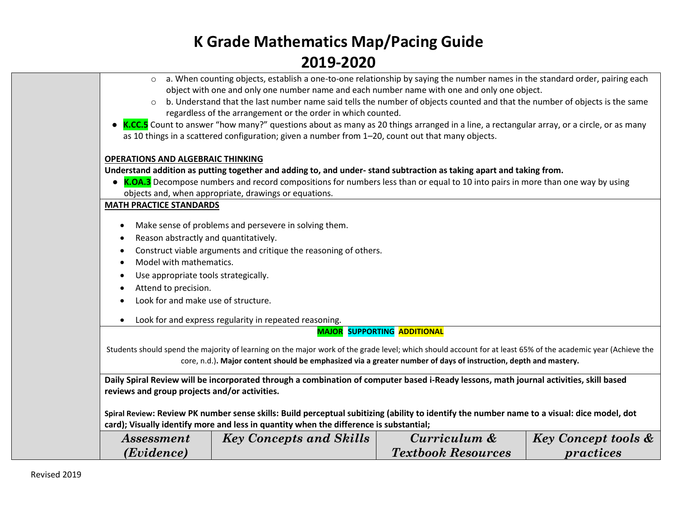|                                               | a. When counting objects, establish a one-to-one relationship by saying the number names in the standard order, pairing each                                 |                                    |                                |  |  |
|-----------------------------------------------|--------------------------------------------------------------------------------------------------------------------------------------------------------------|------------------------------------|--------------------------------|--|--|
|                                               | object with one and only one number name and each number name with one and only one object.                                                                  |                                    |                                |  |  |
| $\circ$                                       | b. Understand that the last number name said tells the number of objects counted and that the number of objects is the same                                  |                                    |                                |  |  |
|                                               | regardless of the arrangement or the order in which counted.                                                                                                 |                                    |                                |  |  |
|                                               | K.CC.5 Count to answer "how many?" questions about as many as 20 things arranged in a line, a rectangular array, or a circle, or as many                     |                                    |                                |  |  |
|                                               | as 10 things in a scattered configuration; given a number from 1-20, count out that many objects.                                                            |                                    |                                |  |  |
|                                               |                                                                                                                                                              |                                    |                                |  |  |
| <b>OPERATIONS AND ALGEBRAIC THINKING</b>      |                                                                                                                                                              |                                    |                                |  |  |
|                                               | Understand addition as putting together and adding to, and under-stand subtraction as taking apart and taking from.                                          |                                    |                                |  |  |
|                                               | • K.OA.3 Decompose numbers and record compositions for numbers less than or equal to 10 into pairs in more than one way by using                             |                                    |                                |  |  |
|                                               | objects and, when appropriate, drawings or equations.                                                                                                        |                                    |                                |  |  |
| <b>MATH PRACTICE STANDARDS</b>                |                                                                                                                                                              |                                    |                                |  |  |
|                                               | Make sense of problems and persevere in solving them.                                                                                                        |                                    |                                |  |  |
| Reason abstractly and quantitatively.         |                                                                                                                                                              |                                    |                                |  |  |
|                                               | Construct viable arguments and critique the reasoning of others.                                                                                             |                                    |                                |  |  |
| Model with mathematics.                       |                                                                                                                                                              |                                    |                                |  |  |
| Use appropriate tools strategically.          |                                                                                                                                                              |                                    |                                |  |  |
| Attend to precision.                          |                                                                                                                                                              |                                    |                                |  |  |
|                                               |                                                                                                                                                              |                                    |                                |  |  |
| Look for and make use of structure.           |                                                                                                                                                              |                                    |                                |  |  |
|                                               | Look for and express regularity in repeated reasoning.                                                                                                       |                                    |                                |  |  |
|                                               |                                                                                                                                                              | <b>MAJOR SUPPORTING ADDITIONAL</b> |                                |  |  |
|                                               | Students should spend the majority of learning on the major work of the grade level; which should account for at least 65% of the academic year (Achieve the |                                    |                                |  |  |
|                                               | core, n.d.). Major content should be emphasized via a greater number of days of instruction, depth and mastery.                                              |                                    |                                |  |  |
|                                               |                                                                                                                                                              |                                    |                                |  |  |
|                                               | Daily Spiral Review will be incorporated through a combination of computer based i-Ready lessons, math journal activities, skill based                       |                                    |                                |  |  |
| reviews and group projects and/or activities. |                                                                                                                                                              |                                    |                                |  |  |
|                                               |                                                                                                                                                              |                                    |                                |  |  |
|                                               | Spiral Review: Review PK number sense skills: Build perceptual subitizing (ability to identify the number name to a visual: dice model, dot                  |                                    |                                |  |  |
|                                               | card); Visually identify more and less in quantity when the difference is substantial;                                                                       |                                    |                                |  |  |
| Assessment                                    | <b>Key Concepts and Skills</b>                                                                                                                               | Curriculum &                       | <b>Key Concept tools &amp;</b> |  |  |
| (Evidence)                                    |                                                                                                                                                              | <b>Textbook Resources</b>          | practices                      |  |  |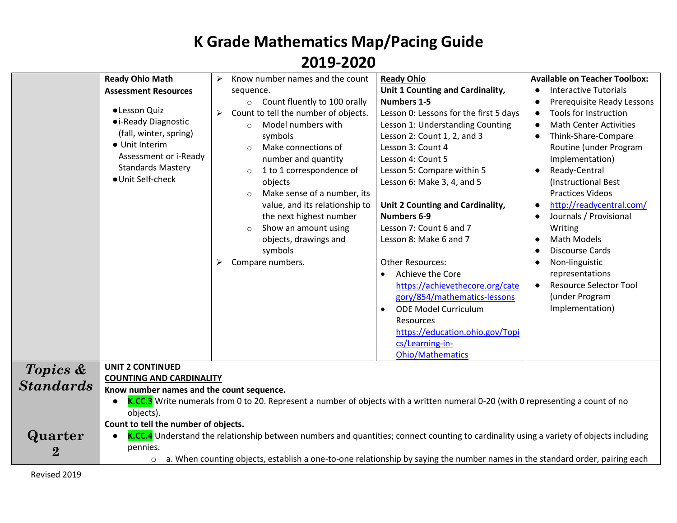|                  | <b>Ready Ohio Math</b>                                                                                                                  | Know number names and the count           | <b>Ready Ohio</b>                      | <b>Available on Teacher Toolbox:</b>       |
|------------------|-----------------------------------------------------------------------------------------------------------------------------------------|-------------------------------------------|----------------------------------------|--------------------------------------------|
|                  | <b>Assessment Resources</b>                                                                                                             | sequence.                                 | Unit 1 Counting and Cardinality,       | <b>Interactive Tutorials</b><br>$\bullet$  |
|                  |                                                                                                                                         | Count fluently to 100 orally<br>$\circ$   | <b>Numbers 1-5</b>                     | Prerequisite Ready Lessons<br>$\bullet$    |
|                  | ·Lesson Quiz                                                                                                                            | Count to tell the number of objects.<br>➤ | Lesson 0: Lessons for the first 5 days | Tools for Instruction<br>$\bullet$         |
|                  | • i-Ready Diagnostic                                                                                                                    | Model numbers with<br>$\bigcirc$          | Lesson 1: Understanding Counting       | <b>Math Center Activities</b><br>$\bullet$ |
|                  | (fall, winter, spring)                                                                                                                  | symbols                                   | Lesson 2: Count 1, 2, and 3            | Think-Share-Compare<br>$\bullet$           |
|                  | • Unit Interim                                                                                                                          | Make connections of                       | Lesson 3: Count 4                      | Routine (under Program                     |
|                  | Assessment or i-Ready                                                                                                                   | number and quantity                       | Lesson 4: Count 5                      | Implementation)                            |
|                  | <b>Standards Mastery</b>                                                                                                                | 1 to 1 correspondence of<br>$\circ$       | Lesson 5: Compare within 5             | Ready-Central<br>$\bullet$                 |
|                  | · Unit Self-check                                                                                                                       | objects                                   | Lesson 6: Make 3, 4, and 5             | (Instructional Best                        |
|                  |                                                                                                                                         | Make sense of a number, its<br>$\circ$    |                                        | <b>Practices Videos</b>                    |
|                  |                                                                                                                                         | value, and its relationship to            | Unit 2 Counting and Cardinality,       | http://readycentral.com/<br>$\bullet$      |
|                  |                                                                                                                                         | the next highest number                   | <b>Numbers 6-9</b>                     | Journals / Provisional<br>$\bullet$        |
|                  |                                                                                                                                         | Show an amount using                      | Lesson 7: Count 6 and 7                | Writing                                    |
|                  |                                                                                                                                         | objects, drawings and                     | Lesson 8: Make 6 and 7                 | <b>Math Models</b>                         |
|                  |                                                                                                                                         | symbols                                   |                                        | <b>Discourse Cards</b>                     |
|                  |                                                                                                                                         | Compare numbers.<br>⋗                     | <b>Other Resources:</b>                | Non-linguistic<br>$\bullet$                |
|                  |                                                                                                                                         |                                           | Achieve the Core<br>$\bullet$          | representations                            |
|                  |                                                                                                                                         |                                           | https://achievethecore.org/cate        | <b>Resource Selector Tool</b><br>$\bullet$ |
|                  |                                                                                                                                         |                                           | gory/854/mathematics-lessons           | (under Program                             |
|                  |                                                                                                                                         |                                           | <b>ODE Model Curriculum</b>            | Implementation)                            |
|                  |                                                                                                                                         |                                           | Resources                              |                                            |
|                  |                                                                                                                                         |                                           | https://education.ohio.gov/Topi        |                                            |
|                  |                                                                                                                                         |                                           | cs/Learning-in-                        |                                            |
|                  |                                                                                                                                         |                                           | <b>Ohio/Mathematics</b>                |                                            |
| Topics &         | <b>UNIT 2 CONTINUED</b>                                                                                                                 |                                           |                                        |                                            |
| <b>Standards</b> | <b>COUNTING AND CARDINALITY</b>                                                                                                         |                                           |                                        |                                            |
|                  | Know number names and the count sequence.                                                                                               |                                           |                                        |                                            |
|                  | K.CC.3 Write numerals from 0 to 20. Represent a number of objects with a written numeral 0-20 (with 0 representing a count of no        |                                           |                                        |                                            |
|                  | objects).<br>Count to tell the number of objects.                                                                                       |                                           |                                        |                                            |
| Quarter          | K.CC.4 Understand the relationship between numbers and quantities; connect counting to cardinality using a variety of objects including |                                           |                                        |                                            |
|                  | pennies.                                                                                                                                |                                           |                                        |                                            |
| $\bf{2}$         | a. When counting objects, establish a one-to-one relationship by saying the number names in the standard order, pairing each<br>$\circ$ |                                           |                                        |                                            |
|                  |                                                                                                                                         |                                           |                                        |                                            |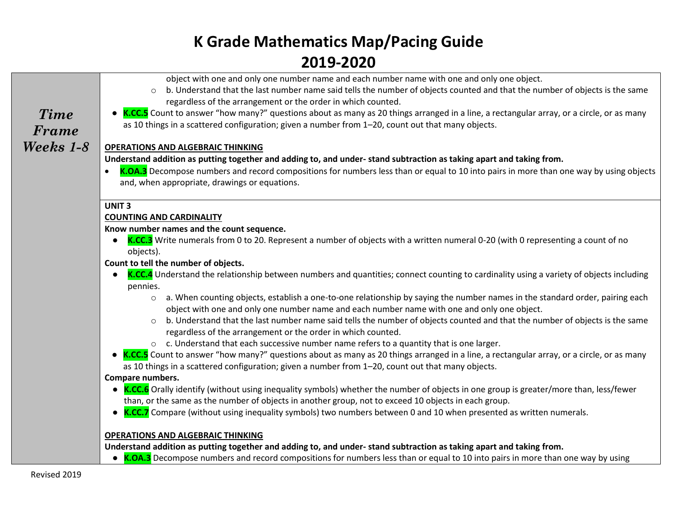|             | object with one and only one number name and each number name with one and only one object.                                                                                                            |
|-------------|--------------------------------------------------------------------------------------------------------------------------------------------------------------------------------------------------------|
|             | b. Understand that the last number name said tells the number of objects counted and that the number of objects is the same<br>$\circ$                                                                 |
|             | regardless of the arrangement or the order in which counted.                                                                                                                                           |
| <b>Time</b> | • K.CC.5 Count to answer "how many?" questions about as many as 20 things arranged in a line, a rectangular array, or a circle, or as many                                                             |
| Frame       | as 10 things in a scattered configuration; given a number from 1-20, count out that many objects.                                                                                                      |
| Weeks 1-8   | <b>OPERATIONS AND ALGEBRAIC THINKING</b>                                                                                                                                                               |
|             | Understand addition as putting together and adding to, and under-stand subtraction as taking apart and taking from.                                                                                    |
|             | K.OA.3 Decompose numbers and record compositions for numbers less than or equal to 10 into pairs in more than one way by using objects                                                                 |
|             | and, when appropriate, drawings or equations.                                                                                                                                                          |
|             |                                                                                                                                                                                                        |
|             | <b>UNIT3</b>                                                                                                                                                                                           |
|             | <b>COUNTING AND CARDINALITY</b>                                                                                                                                                                        |
|             | Know number names and the count sequence.                                                                                                                                                              |
|             | K.CC.3 Write numerals from 0 to 20. Represent a number of objects with a written numeral 0-20 (with 0 representing a count of no                                                                       |
|             | objects).                                                                                                                                                                                              |
|             | Count to tell the number of objects.                                                                                                                                                                   |
|             | K.CC.4 Understand the relationship between numbers and quantities; connect counting to cardinality using a variety of objects including                                                                |
|             | pennies.                                                                                                                                                                                               |
|             | a. When counting objects, establish a one-to-one relationship by saying the number names in the standard order, pairing each<br>$\circ$                                                                |
|             | object with one and only one number name and each number name with one and only one object.                                                                                                            |
|             | b. Understand that the last number name said tells the number of objects counted and that the number of objects is the same<br>$\circ$<br>regardless of the arrangement or the order in which counted. |
|             | o c. Understand that each successive number name refers to a quantity that is one larger.                                                                                                              |
|             | • K.CC.5 Count to answer "how many?" questions about as many as 20 things arranged in a line, a rectangular array, or a circle, or as many                                                             |
|             | as 10 things in a scattered configuration; given a number from 1-20, count out that many objects.                                                                                                      |
|             | Compare numbers.                                                                                                                                                                                       |
|             | • K.CC.6 Orally identify (without using inequality symbols) whether the number of objects in one group is greater/more than, less/fewer                                                                |
|             | than, or the same as the number of objects in another group, not to exceed 10 objects in each group.                                                                                                   |
|             | • K.CC.7 Compare (without using inequality symbols) two numbers between 0 and 10 when presented as written numerals.                                                                                   |
|             | <b>OPERATIONS AND ALGEBRAIC THINKING</b>                                                                                                                                                               |
|             | Understand addition as putting together and adding to, and under-stand subtraction as taking apart and taking from.                                                                                    |
|             | • K.OA.3 Decompose numbers and record compositions for numbers less than or equal to 10 into pairs in more than one way by using                                                                       |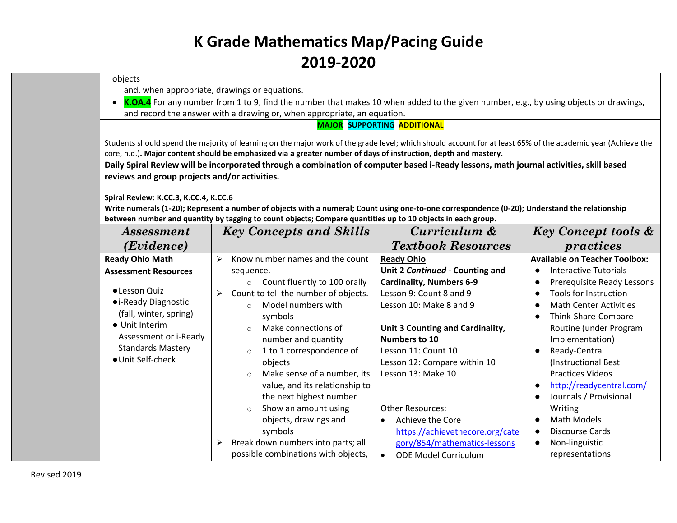| ZUIJ-ZUZU                                     |                                                                                                                                                              |                                          |                                            |
|-----------------------------------------------|--------------------------------------------------------------------------------------------------------------------------------------------------------------|------------------------------------------|--------------------------------------------|
| objects                                       |                                                                                                                                                              |                                          |                                            |
| and, when appropriate, drawings or equations. |                                                                                                                                                              |                                          |                                            |
|                                               | K.OA.4 For any number from 1 to 9, find the number that makes 10 when added to the given number, e.g., by using objects or drawings,                         |                                          |                                            |
|                                               | and record the answer with a drawing or, when appropriate, an equation.                                                                                      |                                          |                                            |
|                                               |                                                                                                                                                              | <b>MAJOR SUPPORTING ADDITIONAL</b>       |                                            |
|                                               | Students should spend the majority of learning on the major work of the grade level; which should account for at least 65% of the academic year (Achieve the |                                          |                                            |
|                                               | core, n.d.). Major content should be emphasized via a greater number of days of instruction, depth and mastery.                                              |                                          |                                            |
|                                               | Daily Spiral Review will be incorporated through a combination of computer based i-Ready lessons, math journal activities, skill based                       |                                          |                                            |
| reviews and group projects and/or activities. |                                                                                                                                                              |                                          |                                            |
|                                               |                                                                                                                                                              |                                          |                                            |
| Spiral Review: K.CC.3, K.CC.4, K.CC.6         |                                                                                                                                                              |                                          |                                            |
|                                               | Write numerals (1-20); Represent a number of objects with a numeral; Count using one-to-one correspondence (0-20); Understand the relationship               |                                          |                                            |
|                                               | between number and quantity by tagging to count objects; Compare quantities up to 10 objects in each group.                                                  |                                          |                                            |
| <i>Assessment</i>                             | <b>Key Concepts and Skills</b>                                                                                                                               | Curriculum &                             | <b>Key Concept tools &amp;</b>             |
| (Evidence)                                    |                                                                                                                                                              | <b>Textbook Resources</b>                | practices                                  |
| <b>Ready Ohio Math</b>                        | Know number names and the count<br>$\blacktriangleright$                                                                                                     | <b>Ready Ohio</b>                        | <b>Available on Teacher Toolbox:</b>       |
| <b>Assessment Resources</b>                   | sequence.                                                                                                                                                    | Unit 2 Continued - Counting and          | <b>Interactive Tutorials</b>               |
|                                               | o Count fluently to 100 orally                                                                                                                               | <b>Cardinality, Numbers 6-9</b>          | Prerequisite Ready Lessons                 |
| · Lesson Quiz                                 | Count to tell the number of objects.<br>➤                                                                                                                    | Lesson 9: Count 8 and 9                  | <b>Tools for Instruction</b>               |
| • i-Ready Diagnostic                          | Model numbers with<br>$\circ$                                                                                                                                | Lesson 10: Make 8 and 9                  | <b>Math Center Activities</b><br>$\bullet$ |
| (fall, winter, spring)                        | symbols                                                                                                                                                      |                                          | Think-Share-Compare<br>$\bullet$           |
| • Unit Interim                                | Make connections of<br>$\circ$                                                                                                                               | Unit 3 Counting and Cardinality,         | Routine (under Program                     |
| Assessment or i-Ready                         | number and quantity                                                                                                                                          | Numbers to 10                            | Implementation)                            |
| <b>Standards Mastery</b>                      | 1 to 1 correspondence of<br>$\circ$                                                                                                                          | Lesson 11: Count 10                      | Ready-Central                              |
| · Unit Self-check                             | objects                                                                                                                                                      | Lesson 12: Compare within 10             | (Instructional Best                        |
|                                               | Make sense of a number, its<br>$\circ$                                                                                                                       | Lesson 13: Make 10                       | <b>Practices Videos</b>                    |
|                                               | value, and its relationship to                                                                                                                               |                                          | http://readycentral.com/<br>$\bullet$      |
|                                               | the next highest number                                                                                                                                      |                                          | Journals / Provisional                     |
|                                               | Show an amount using<br>$\circ$                                                                                                                              | <b>Other Resources:</b>                  | Writing                                    |
|                                               | objects, drawings and                                                                                                                                        | Achieve the Core                         | <b>Math Models</b>                         |
|                                               | symbols                                                                                                                                                      | https://achievethecore.org/cate          | <b>Discourse Cards</b>                     |
|                                               | Break down numbers into parts; all                                                                                                                           | gory/854/mathematics-lessons             | Non-linguistic<br>$\bullet$                |
|                                               | possible combinations with objects,                                                                                                                          | <b>ODE Model Curriculum</b><br>$\bullet$ | representations                            |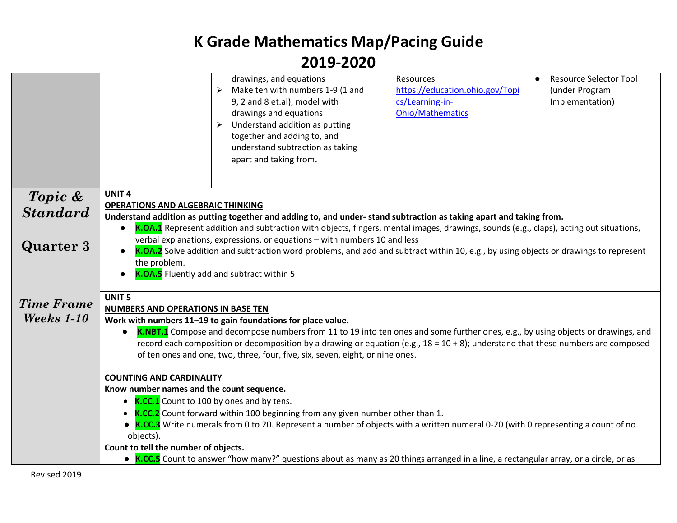|                   | drawings, and equations<br>Make ten with numbers 1-9 (1 and<br>9, 2 and 8 et.al); model with<br>drawings and equations<br>Understand addition as putting<br>➤<br>together and adding to, and<br>understand subtraction as taking<br>apart and taking from.                                                                                                                                                                                   | Resources<br>https://education.ohio.gov/Topi<br>cs/Learning-in-<br><b>Ohio/Mathematics</b> | <b>Resource Selector Tool</b><br>$\bullet$<br>(under Program<br>Implementation) |  |  |
|-------------------|----------------------------------------------------------------------------------------------------------------------------------------------------------------------------------------------------------------------------------------------------------------------------------------------------------------------------------------------------------------------------------------------------------------------------------------------|--------------------------------------------------------------------------------------------|---------------------------------------------------------------------------------|--|--|
| Topic &           | <b>UNIT4</b><br><b>OPERATIONS AND ALGEBRAIC THINKING</b>                                                                                                                                                                                                                                                                                                                                                                                     |                                                                                            |                                                                                 |  |  |
| <b>Standard</b>   | Understand addition as putting together and adding to, and under-stand subtraction as taking apart and taking from.                                                                                                                                                                                                                                                                                                                          |                                                                                            |                                                                                 |  |  |
| <b>Quarter 3</b>  | K.OA.1 Represent addition and subtraction with objects, fingers, mental images, drawings, sounds (e.g., claps), acting out situations,<br>$\bullet$<br>verbal explanations, expressions, or equations - with numbers 10 and less<br>K.OA.2 Solve addition and subtraction word problems, and add and subtract within 10, e.g., by using objects or drawings to represent<br>the problem.<br><b>K.OA.5</b> Fluently add and subtract within 5 |                                                                                            |                                                                                 |  |  |
| <b>Time Frame</b> | <b>UNIT 5</b><br>NUMBERS AND OPERATIONS IN BASE TEN                                                                                                                                                                                                                                                                                                                                                                                          |                                                                                            |                                                                                 |  |  |
| Weeks 1-10        | Work with numbers 11-19 to gain foundations for place value.                                                                                                                                                                                                                                                                                                                                                                                 |                                                                                            |                                                                                 |  |  |
|                   | K.NBT.1 Compose and decompose numbers from 11 to 19 into ten ones and some further ones, e.g., by using objects or drawings, and<br>$\bullet$                                                                                                                                                                                                                                                                                                |                                                                                            |                                                                                 |  |  |
|                   | record each composition or decomposition by a drawing or equation (e.g., 18 = 10 + 8); understand that these numbers are composed<br>of ten ones and one, two, three, four, five, six, seven, eight, or nine ones.                                                                                                                                                                                                                           |                                                                                            |                                                                                 |  |  |
|                   |                                                                                                                                                                                                                                                                                                                                                                                                                                              |                                                                                            |                                                                                 |  |  |
|                   | <b>COUNTING AND CARDINALITY</b><br>Know number names and the count sequence.                                                                                                                                                                                                                                                                                                                                                                 |                                                                                            |                                                                                 |  |  |
|                   | • K.CC.1 Count to 100 by ones and by tens.                                                                                                                                                                                                                                                                                                                                                                                                   |                                                                                            |                                                                                 |  |  |
|                   | • <b>K.CC.2</b> Count forward within 100 beginning from any given number other than 1.                                                                                                                                                                                                                                                                                                                                                       |                                                                                            |                                                                                 |  |  |
|                   | • K.CC.3 Write numerals from 0 to 20. Represent a number of objects with a written numeral 0-20 (with 0 representing a count of no<br>objects).                                                                                                                                                                                                                                                                                              |                                                                                            |                                                                                 |  |  |
|                   | Count to tell the number of objects.                                                                                                                                                                                                                                                                                                                                                                                                         |                                                                                            |                                                                                 |  |  |
|                   | • K.CC.5 Count to answer "how many?" questions about as many as 20 things arranged in a line, a rectangular array, or a circle, or as                                                                                                                                                                                                                                                                                                        |                                                                                            |                                                                                 |  |  |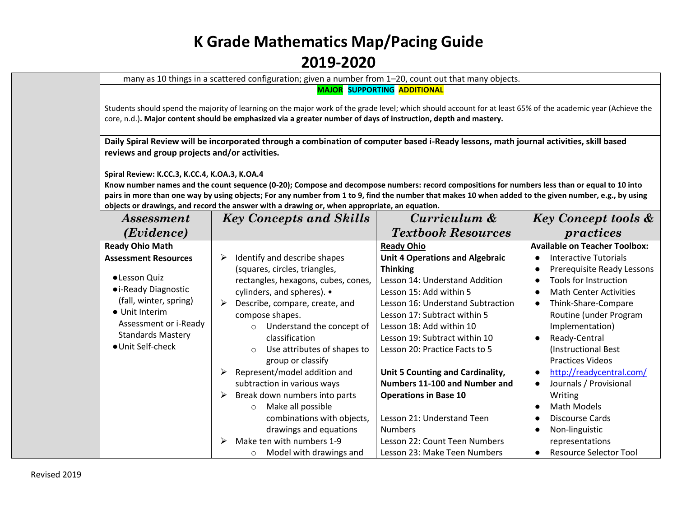many as 10 things in a scattered configuration; given a number from 1–20, count out that many objects.

**MAJOR SUPPORTING ADDITIONAL**

Students should spend the majority of learning on the major work of the grade level; which should account for at least 65% of the academic year (Achieve the core, n.d.)**. Major content should be emphasized via a greater number of days of instruction, depth and mastery.**

**Daily Spiral Review will be incorporated through a combination of computer based i-Ready lessons, math journal activities, skill based reviews and group projects and/or activities.** 

**Spiral Review: K.CC.3, K.CC.4, K.OA.3, K.OA.4**

**Know number names and the count sequence (0-20); Compose and decompose numbers: record compositions for numbers less than or equal to 10 into pairs in more than one way by using objects; For any number from 1 to 9, find the number that makes 10 when added to the given number, e.g., by using objects or drawings, and record the answer with a drawing or, when appropriate, an equation.**

| <i>Assessment</i>                                                                                                                                                                         | <b>Key Concepts and Skills</b>                                                                                                                                                                                                                                                                                                                                                                                                                                                                                                                                                                       | Curriculum &                                                                                                                                                                                                                                                                                                                                                                                                                                                                                                     | <b>Key Concept tools &amp;</b>                                                                                                                                                                                                                                                                                                                                                                                                       |
|-------------------------------------------------------------------------------------------------------------------------------------------------------------------------------------------|------------------------------------------------------------------------------------------------------------------------------------------------------------------------------------------------------------------------------------------------------------------------------------------------------------------------------------------------------------------------------------------------------------------------------------------------------------------------------------------------------------------------------------------------------------------------------------------------------|------------------------------------------------------------------------------------------------------------------------------------------------------------------------------------------------------------------------------------------------------------------------------------------------------------------------------------------------------------------------------------------------------------------------------------------------------------------------------------------------------------------|--------------------------------------------------------------------------------------------------------------------------------------------------------------------------------------------------------------------------------------------------------------------------------------------------------------------------------------------------------------------------------------------------------------------------------------|
| ( <i>Evidence</i> )                                                                                                                                                                       |                                                                                                                                                                                                                                                                                                                                                                                                                                                                                                                                                                                                      | <b>Textbook Resources</b>                                                                                                                                                                                                                                                                                                                                                                                                                                                                                        | practices                                                                                                                                                                                                                                                                                                                                                                                                                            |
| <b>Ready Ohio Math</b>                                                                                                                                                                    |                                                                                                                                                                                                                                                                                                                                                                                                                                                                                                                                                                                                      | <b>Ready Ohio</b>                                                                                                                                                                                                                                                                                                                                                                                                                                                                                                | <b>Available on Teacher Toolbox:</b>                                                                                                                                                                                                                                                                                                                                                                                                 |
| <b>Assessment Resources</b><br>·Lesson Quiz<br>• i-Ready Diagnostic<br>(fall, winter, spring)<br>• Unit Interim<br>Assessment or i-Ready<br><b>Standards Mastery</b><br>● Unit Self-check | Identify and describe shapes<br>➤<br>(squares, circles, triangles,<br>rectangles, hexagons, cubes, cones,<br>cylinders, and spheres). •<br>Describe, compare, create, and<br>➤<br>compose shapes.<br>Understand the concept of<br>$\circ$<br>classification<br>Use attributes of shapes to<br>$\circ$<br>group or classify<br>Represent/model addition and<br>➤<br>subtraction in various ways<br>Break down numbers into parts<br>➤<br>Make all possible<br>$\circ$<br>combinations with objects,<br>drawings and equations<br>Make ten with numbers 1-9<br>⋗<br>Model with drawings and<br>$\circ$ | <b>Unit 4 Operations and Algebraic</b><br><b>Thinking</b><br>Lesson 14: Understand Addition<br>Lesson 15: Add within 5<br>Lesson 16: Understand Subtraction<br>Lesson 17: Subtract within 5<br>Lesson 18: Add within 10<br>Lesson 19: Subtract within 10<br>Lesson 20: Practice Facts to 5<br>Unit 5 Counting and Cardinality,<br>Numbers 11-100 and Number and<br><b>Operations in Base 10</b><br>Lesson 21: Understand Teen<br><b>Numbers</b><br>Lesson 22: Count Teen Numbers<br>Lesson 23: Make Teen Numbers | <b>Interactive Tutorials</b><br>Prerequisite Ready Lessons<br>Tools for Instruction<br><b>Math Center Activities</b><br>Think-Share-Compare<br>Routine (under Program<br>Implementation)<br>Ready-Central<br>(Instructional Best<br><b>Practices Videos</b><br>http://readycentral.com/<br>Journals / Provisional<br>Writing<br>Math Models<br>Discourse Cards<br>Non-linguistic<br>representations<br><b>Resource Selector Tool</b> |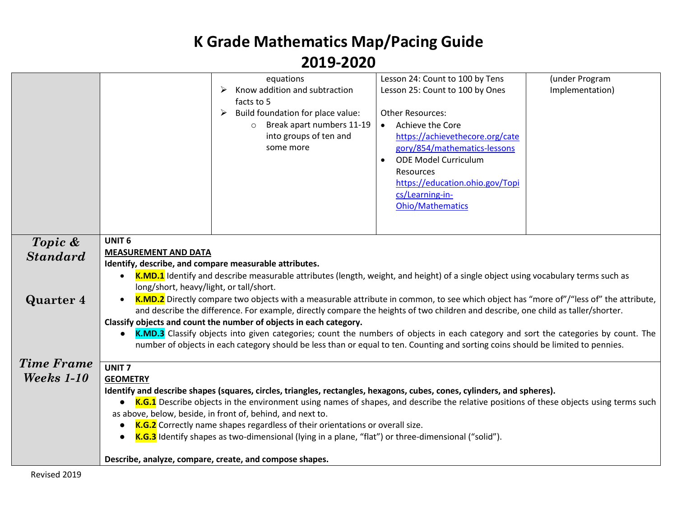|                   |                                                                                                                                                                                                                                                                        | equations                                                                                                                             | Lesson 24: Count to 100 by Tens | (under Program  |
|-------------------|------------------------------------------------------------------------------------------------------------------------------------------------------------------------------------------------------------------------------------------------------------------------|---------------------------------------------------------------------------------------------------------------------------------------|---------------------------------|-----------------|
|                   |                                                                                                                                                                                                                                                                        | Know addition and subtraction<br>➤                                                                                                    | Lesson 25: Count to 100 by Ones | Implementation) |
|                   |                                                                                                                                                                                                                                                                        | facts to 5                                                                                                                            |                                 |                 |
|                   |                                                                                                                                                                                                                                                                        | Build foundation for place value:<br>➤                                                                                                | <b>Other Resources:</b>         |                 |
|                   |                                                                                                                                                                                                                                                                        | Break apart numbers 11-19<br>$\circ$                                                                                                  | Achieve the Core                |                 |
|                   |                                                                                                                                                                                                                                                                        | into groups of ten and                                                                                                                | https://achievethecore.org/cate |                 |
|                   |                                                                                                                                                                                                                                                                        | some more                                                                                                                             | gory/854/mathematics-lessons    |                 |
|                   |                                                                                                                                                                                                                                                                        |                                                                                                                                       | <b>ODE Model Curriculum</b>     |                 |
|                   |                                                                                                                                                                                                                                                                        |                                                                                                                                       | Resources                       |                 |
|                   |                                                                                                                                                                                                                                                                        |                                                                                                                                       | https://education.ohio.gov/Topi |                 |
|                   |                                                                                                                                                                                                                                                                        |                                                                                                                                       | cs/Learning-in-                 |                 |
|                   |                                                                                                                                                                                                                                                                        |                                                                                                                                       | Ohio/Mathematics                |                 |
|                   |                                                                                                                                                                                                                                                                        |                                                                                                                                       |                                 |                 |
| Topic &           | <b>UNIT 6</b>                                                                                                                                                                                                                                                          |                                                                                                                                       |                                 |                 |
| <b>Standard</b>   | <b>MEASUREMENT AND DATA</b>                                                                                                                                                                                                                                            |                                                                                                                                       |                                 |                 |
|                   | Identify, describe, and compare measurable attributes.                                                                                                                                                                                                                 |                                                                                                                                       |                                 |                 |
|                   | $\bullet$                                                                                                                                                                                                                                                              | K.MD.1 Identify and describe measurable attributes (length, weight, and height) of a single object using vocabulary terms such as     |                                 |                 |
|                   | long/short, heavy/light, or tall/short.                                                                                                                                                                                                                                |                                                                                                                                       |                                 |                 |
| <b>Quarter 4</b>  |                                                                                                                                                                                                                                                                        | K.MD.2 Directly compare two objects with a measurable attribute in common, to see which object has "more of"/"less of" the attribute, |                                 |                 |
|                   |                                                                                                                                                                                                                                                                        | and describe the difference. For example, directly compare the heights of two children and describe, one child as taller/shorter.     |                                 |                 |
|                   |                                                                                                                                                                                                                                                                        | Classify objects and count the number of objects in each category.                                                                    |                                 |                 |
|                   | K.MD.3 Classify objects into given categories; count the numbers of objects in each category and sort the categories by count. The<br>number of objects in each category should be less than or equal to ten. Counting and sorting coins should be limited to pennies. |                                                                                                                                       |                                 |                 |
|                   |                                                                                                                                                                                                                                                                        |                                                                                                                                       |                                 |                 |
| <b>Time Frame</b> | UNIT <sub>7</sub>                                                                                                                                                                                                                                                      |                                                                                                                                       |                                 |                 |
| Weeks 1-10        | <b>GEOMETRY</b>                                                                                                                                                                                                                                                        |                                                                                                                                       |                                 |                 |
|                   |                                                                                                                                                                                                                                                                        | Identify and describe shapes (squares, circles, triangles, rectangles, hexagons, cubes, cones, cylinders, and spheres).               |                                 |                 |
|                   | K.G.1 Describe objects in the environment using names of shapes, and describe the relative positions of these objects using terms such<br>$\bullet$                                                                                                                    |                                                                                                                                       |                                 |                 |
|                   | as above, below, beside, in front of, behind, and next to.                                                                                                                                                                                                             |                                                                                                                                       |                                 |                 |
|                   | K.G.2 Correctly name shapes regardless of their orientations or overall size.<br>$\bullet$                                                                                                                                                                             |                                                                                                                                       |                                 |                 |
|                   | K.G.3 Identify shapes as two-dimensional (lying in a plane, "flat") or three-dimensional ("solid").<br>$\bullet$                                                                                                                                                       |                                                                                                                                       |                                 |                 |
|                   |                                                                                                                                                                                                                                                                        |                                                                                                                                       |                                 |                 |
|                   |                                                                                                                                                                                                                                                                        | Describe, analyze, compare, create, and compose shapes.                                                                               |                                 |                 |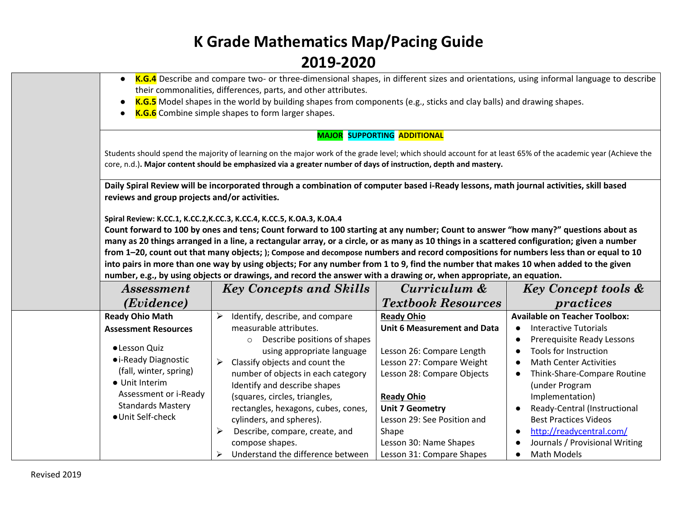| $\bullet$<br>$\bullet$                                                                                                                                                                                              | K.G.4 Describe and compare two- or three-dimensional shapes, in different sizes and orientations, using informal language to describe<br>their commonalities, differences, parts, and other attributes.<br>K.G.5 Model shapes in the world by building shapes from components (e.g., sticks and clay balls) and drawing shapes.                                                                                                                                                                                                                                                                                                                                                                                                                                                                                                                                                                              |                                                                                                                                                                                                                                                                  |                                                                                                                                                                                                                                                                                                                                                                                          |
|---------------------------------------------------------------------------------------------------------------------------------------------------------------------------------------------------------------------|--------------------------------------------------------------------------------------------------------------------------------------------------------------------------------------------------------------------------------------------------------------------------------------------------------------------------------------------------------------------------------------------------------------------------------------------------------------------------------------------------------------------------------------------------------------------------------------------------------------------------------------------------------------------------------------------------------------------------------------------------------------------------------------------------------------------------------------------------------------------------------------------------------------|------------------------------------------------------------------------------------------------------------------------------------------------------------------------------------------------------------------------------------------------------------------|------------------------------------------------------------------------------------------------------------------------------------------------------------------------------------------------------------------------------------------------------------------------------------------------------------------------------------------------------------------------------------------|
| $\bullet$                                                                                                                                                                                                           | K.G.6 Combine simple shapes to form larger shapes.                                                                                                                                                                                                                                                                                                                                                                                                                                                                                                                                                                                                                                                                                                                                                                                                                                                           | <b>MAJOR SUPPORTING ADDITIONAL</b>                                                                                                                                                                                                                               |                                                                                                                                                                                                                                                                                                                                                                                          |
|                                                                                                                                                                                                                     | Students should spend the majority of learning on the major work of the grade level; which should account for at least 65% of the academic year (Achieve the<br>core, n.d.). Major content should be emphasized via a greater number of days of instruction, depth and mastery.                                                                                                                                                                                                                                                                                                                                                                                                                                                                                                                                                                                                                              |                                                                                                                                                                                                                                                                  |                                                                                                                                                                                                                                                                                                                                                                                          |
| reviews and group projects and/or activities.                                                                                                                                                                       | Daily Spiral Review will be incorporated through a combination of computer based i-Ready lessons, math journal activities, skill based<br>Spiral Review: K.CC.1, K.CC.2, K.CC.3, K.CC.4, K.CC.5, K.OA.3, K.OA.4<br>Count forward to 100 by ones and tens; Count forward to 100 starting at any number; Count to answer "how many?" questions about as<br>many as 20 things arranged in a line, a rectangular array, or a circle, or as many as 10 things in a scattered configuration; given a number<br>from 1-20, count out that many objects; ); Compose and decompose numbers and record compositions for numbers less than or equal to 10<br>into pairs in more than one way by using objects; For any number from 1 to 9, find the number that makes 10 when added to the given<br>number, e.g., by using objects or drawings, and record the answer with a drawing or, when appropriate, an equation. |                                                                                                                                                                                                                                                                  |                                                                                                                                                                                                                                                                                                                                                                                          |
| <i>Assessment</i>                                                                                                                                                                                                   | <b>Key Concepts and Skills</b>                                                                                                                                                                                                                                                                                                                                                                                                                                                                                                                                                                                                                                                                                                                                                                                                                                                                               | Curriculum &                                                                                                                                                                                                                                                     | <b>Key Concept tools &amp;</b>                                                                                                                                                                                                                                                                                                                                                           |
| (Evidence)                                                                                                                                                                                                          |                                                                                                                                                                                                                                                                                                                                                                                                                                                                                                                                                                                                                                                                                                                                                                                                                                                                                                              | <b>Textbook Resources</b>                                                                                                                                                                                                                                        | practices                                                                                                                                                                                                                                                                                                                                                                                |
| <b>Ready Ohio Math</b><br><b>Assessment Resources</b><br>·Lesson Quiz<br>• i-Ready Diagnostic<br>(fall, winter, spring)<br>• Unit Interim<br>Assessment or i-Ready<br><b>Standards Mastery</b><br>· Unit Self-check | Identify, describe, and compare<br>➤<br>measurable attributes.<br>Describe positions of shapes<br>$\circ$<br>using appropriate language<br>Classify objects and count the<br>➤<br>number of objects in each category<br>Identify and describe shapes<br>(squares, circles, triangles,<br>rectangles, hexagons, cubes, cones,<br>cylinders, and spheres).<br>Describe, compare, create, and<br>➤<br>compose shapes.                                                                                                                                                                                                                                                                                                                                                                                                                                                                                           | <b>Ready Ohio</b><br><b>Unit 6 Measurement and Data</b><br>Lesson 26: Compare Length<br>Lesson 27: Compare Weight<br>Lesson 28: Compare Objects<br><b>Ready Ohio</b><br><b>Unit 7 Geometry</b><br>Lesson 29: See Position and<br>Shape<br>Lesson 30: Name Shapes | <b>Available on Teacher Toolbox:</b><br><b>Interactive Tutorials</b><br>Prerequisite Ready Lessons<br>Tools for Instruction<br>$\bullet$<br><b>Math Center Activities</b><br>Think-Share-Compare Routine<br>(under Program<br>Implementation)<br>Ready-Central (Instructional<br><b>Best Practices Videos</b><br>http://readycentral.com/<br>$\bullet$<br>Journals / Provisional Writing |
|                                                                                                                                                                                                                     | Understand the difference between<br>➤                                                                                                                                                                                                                                                                                                                                                                                                                                                                                                                                                                                                                                                                                                                                                                                                                                                                       | Lesson 31: Compare Shapes                                                                                                                                                                                                                                        | <b>Math Models</b>                                                                                                                                                                                                                                                                                                                                                                       |